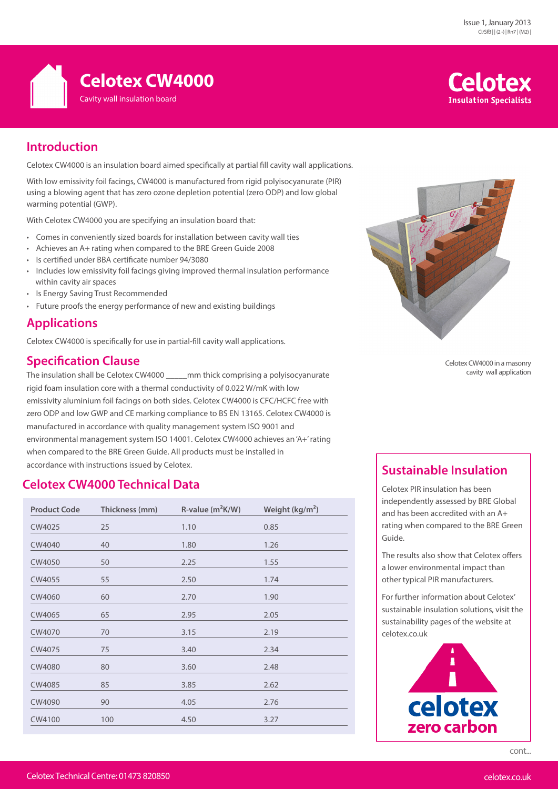

# **Celotex Insulation Specialists**

# **Introduction**

Celotex CW4000 is an insulation board aimed specifically at partial fill cavity wall applications.

With low emissivity foil facings, CW4000 is manufactured from rigid polyisocyanurate (PIR) using a blowing agent that has zero ozone depletion potential (zero ODP) and low global warming potential (GWP).

With Celotex CW4000 you are specifying an insulation board that:

- Comes in conveniently sized boards for installation between cavity wall ties
- Achieves an A+ rating when compared to the BRE Green Guide 2008
- Is certified under BBA certificate number 94/3080
- Includes low emissivity foil facings giving improved thermal insulation performance within cavity air spaces
- Is Energy Saving Trust Recommended
- Future proofs the energy performance of new and existing buildings

### **Applications**

Celotex CW4000 is specifically for use in partial-fill cavity wall applications.

### **Specification Clause**

The insulation shall be Celotex CW4000 \_\_\_\_\_mm thick comprising a polyisocyanurate rigid foam insulation core with a thermal conductivity of 0.022 W/mK with low emissivity aluminium foil facings on both sides. Celotex CW4000 is CFC/HCFC free with zero ODP and low GWP and CE marking compliance to BS EN 13165. Celotex CW4000 is manufactured in accordance with quality management system ISO 9001 and environmental management system ISO 14001. Celotex CW4000 achieves an 'A+' rating when compared to the BRE Green Guide. All products must be installed in accordance with instructions issued by Celotex. **Sustainable Insulation** 

## **Celotex CW4000 Technical Data**

| <b>Product Code</b> | Thickness (mm) | $R$ -value ( $m^2K/W$ ) | Weight $(kg/m2)$ |
|---------------------|----------------|-------------------------|------------------|
| CW4025              | 25             | 1.10                    | 0.85             |
| CW4040              | 40             | 1.80                    | 1.26             |
| CW4050              | 50             | 2.25                    | 1.55             |
| CW4055              | 55             | 2.50                    | 1.74             |
| CW4060              | 60             | 2.70                    | 1.90             |
| CW4065              | 65             | 2.95                    | 2.05             |
| CW4070              | 70             | 3.15                    | 2.19             |
| CW4075              | 75             | 3.40                    | 2.34             |
| CW4080              | 80             | 3.60                    | 2.48             |
| CW4085              | 85             | 3.85                    | 2.62             |
| CW4090              | 90             | 4.05                    | 2.76             |
| CW4100              | 100            | 4.50                    | 3.27             |



Celotex CW4000 in a masonry cavity wall application

Celotex PIR insulation has been independently assessed by BRE Global and has been accredited with an A+ rating when compared to the BRE Green Guide.

The results also show that Celotex offers a lower environmental impact than other typical PIR manufacturers.

For further information about Celotex' sustainable insulation solutions, visit the sustainability pages of the website at celotex.co.uk



cont...